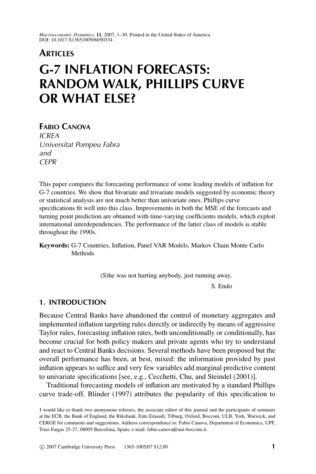*Macroeconomic Dynamics*, **11**, 2007, 1–30. Printed in the United States of America. DOI: 10.1017.S1365100506050334

# **ARTICLES G-7 INFLATION FORECASTS: RANDOM WALK, PHILLIPS CURVE OR WHAT ELSE?**

**FABIO CANOVA**

ICREA Universitat Pompeu Fabra and CEPR

This paper compares the forecasting performance of some leading models of inflation for G-7 countries. We show that bivariate and trivariate models suggested by economic theory or statistical analysis are not much better than univariate ones. Phillips curve specifications fit well into this class. Improvements in both the MSE of the forecasts and turning point prediction are obtained with time-varying coefficients models, which exploit international interdependencies. The performance of the latter class of models is stable throughout the 1990s.

**Keywords:** G-7 Countries, Inflation, Panel VAR Models, Markov Chain Monte Carlo **Methods** 

(S)he was not hurting anybody, just running away.

S. Endo

#### **1. INTRODUCTION**

Because Central Banks have abandoned the control of monetary aggregates and implemented inflation targeting rules directly or indirectly by means of aggressive Taylor rules, forecasting inflation rates, both unconditionally or conditionally, has become crucial for both policy makers and private agents who try to understand and react to Central Banks decisions. Several methods have been proposed but the overall performance has been, at best, mixed: the information provided by past inflation appears to suffice and very few variables add marginal predictive content to univariate specifications [see, e.g., Cecchetti, Chu, and Steindel (2001)].

Traditional forecasting models of inflation are motivated by a standard Phillips curve trade-off. Blinder (1997) attributes the popularity of this specification to

I would like to thank two anonymous referees, the associate editor of this journal and the participants of seminars at the ECB, the Bank of England, the Riksbank, Ente Einaudi, Tilburg, Oxford, Bocconi, ULB, York, Warwick, and CERGE for comments and suggestions. Address correspondence to: Fabio Canova, Department of Economics, UPF, Trias Fargas 25-27, 08005 Barcelona, Spain; e-mail: fabio.canova@uni-bocconi.it.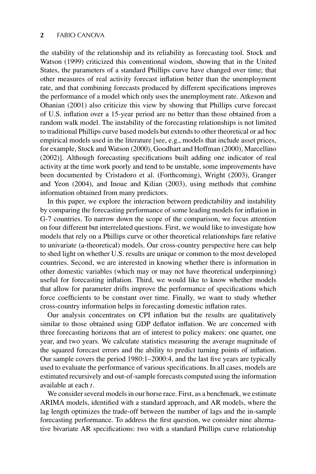#### **2** FABIO CANOVA

the stability of the relationship and its reliability as forecasting tool. Stock and Watson (1999) criticized this conventional wisdom, showing that in the United States, the parameters of a standard Phillips curve have changed over time; that other measures of real activity forecast inflation better than the unemployment rate, and that combining forecasts produced by different specifications improves the performance of a model which only uses the unemployment rate. Atkeson and Ohanian (2001) also criticize this view by showing that Phillips curve forecast of U.S. inflation over a 15-year period are no better than those obtained from a random walk model. The instability of the forecasting relationships is not limited to traditional Phillips curve based models but extends to other theoretical or ad hoc empirical models used in the literature [see, e.g., models that include asset prices, for example, Stock and Watson (2000), Goodhart and Hoffman (2000), Marcellino (2002)]. Although forecasting specifications built adding one indicator of real activity at the time work poorly and tend to be unstable, some improvements have been documented by Cristadoro et al. (Forthcoming), Wright (2003), Granger and Yeon (2004), and Inoue and Kilian (2003), using methods that combine information obtained from many predictors.

In this paper, we explore the interaction between predictability and instability by comparing the forecasting performance of some leading models for inflation in G-7 countries. To narrow down the scope of the comparison, we focus attention on four different but interrelated questions. First, we would like to investigate how models that rely on a Phillips curve or other theoretical relationships fare relative to univariate (a-theoretical) models. Our cross-country perspective here can help to shed light on whether U.S. results are unique or common to the most developed countries. Second, we are interested in knowing whether there is information in other domestic variables (which may or may not have theoretical underpinning) useful for forecasting inflation. Third, we would like to know whether models that allow for parameter drifts improve the performance of specifications which force coefficients to be constant over time. Finally, we want to study whether cross-country information helps in forecasting domestic inflation rates.

Our analysis concentrates on CPI inflation but the results are qualitatively similar to those obtained using GDP deflator inflation. We are concerned with three forecasting horizons that are of interest to policy makers: one quarter, one year, and two years. We calculate statistics measuring the average magnitude of the squared forecast errors and the ability to predict turning points of inflation. Our sample covers the period 1980:1–2000:4, and the last five years are typically used to evaluate the performance of various specifications. In all cases, models are estimated recursively and out-of-sample forecasts computed using the information available at each *t*.

We consider several models in our horse race. First, as a benchmark, we estimate ARIMA models, identified with a standard approach, and AR models, where the lag length optimizes the trade-off between the number of lags and the in-sample forecasting performance. To address the first question, we consider nine alternative bivariate AR specifications: two with a standard Phillips curve relationship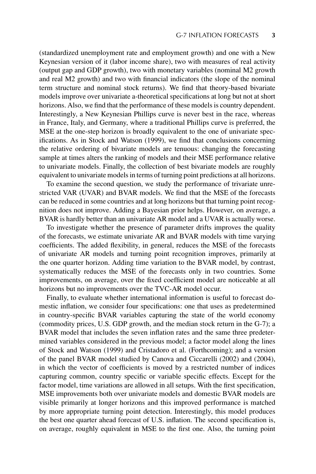(standardized unemployment rate and employment growth) and one with a New Keynesian version of it (labor income share), two with measures of real activity (output gap and GDP growth), two with monetary variables (nominal M2 growth and real M2 growth) and two with financial indicators (the slope of the nominal term structure and nominal stock returns). We find that theory-based bivariate models improve over univariate a-theoretical specifications at long but not at short horizons. Also, we find that the performance of these models is country dependent. Interestingly, a New Keynesian Phillips curve is never best in the race, whereas in France, Italy, and Germany, where a traditional Phillips curve is preferred, the MSE at the one-step horizon is broadly equivalent to the one of univariate specifications. As in Stock and Watson (1999), we find that conclusions concerning the relative ordering of bivariate models are tenuous: changing the forecasting sample at times alters the ranking of models and their MSE performance relative to univariate models. Finally, the collection of best bivariate models are roughly equivalent to univariate models in terms of turning point predictions at all horizons.

To examine the second question, we study the performance of trivariate unrestricted VAR (UVAR) and BVAR models. We find that the MSE of the forecasts can be reduced in some countries and at long horizons but that turning point recognition does not improve. Adding a Bayesian prior helps. However, on average, a BVAR is hardly better than an univariate AR model and a UVAR is actually worse.

To investigate whether the presence of parameter drifts improves the quality of the forecasts, we estimate univariate AR and BVAR models with time varying coefficients. The added flexibility, in general, reduces the MSE of the forecasts of univariate AR models and turning point recognition improves, primarily at the one quarter horizon. Adding time variation to the BVAR model, by contrast, systematically reduces the MSE of the forecasts only in two countries. Some improvements, on average, over the fixed coefficient model are noticeable at all horizons but no improvements over the TVC-AR model occur.

Finally, to evaluate whether international information is useful to forecast domestic inflation, we consider four specifications: one that uses as predetermined in country-specific BVAR variables capturing the state of the world economy (commodity prices, U.S. GDP growth, and the median stock return in the G-7); a BVAR model that includes the seven inflation rates and the same three predetermined variables considered in the previous model; a factor model along the lines of Stock and Watson (1999) and Cristadoro et al. (Forthcoming); and a version of the panel BVAR model studied by Canova and Ciccarelli (2002) and (2004), in which the vector of coefficients is moved by a restricted number of indices capturing common, country specific or variable specific effects. Except for the factor model, time variations are allowed in all setups. With the first specification, MSE improvements both over univariate models and domestic BVAR models are visible primarily at longer horizons and this improved performance is matched by more appropriate turning point detection. Interestingly, this model produces the best one quarter ahead forecast of U.S. inflation. The second specification is, on average, roughly equivalent in MSE to the first one. Also, the turning point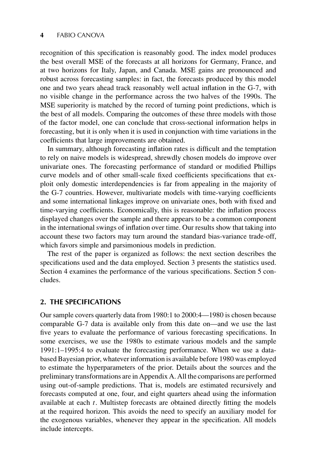#### **4** FABIO CANOVA

recognition of this specification is reasonably good. The index model produces the best overall MSE of the forecasts at all horizons for Germany, France, and at two horizons for Italy, Japan, and Canada. MSE gains are pronounced and robust across forecasting samples: in fact, the forecasts produced by this model one and two years ahead track reasonably well actual inflation in the G-7, with no visible change in the performance across the two halves of the 1990s. The MSE superiority is matched by the record of turning point predictions, which is the best of all models. Comparing the outcomes of these three models with those of the factor model, one can conclude that cross-sectional information helps in forecasting, but it is only when it is used in conjunction with time variations in the coefficients that large improvements are obtained.

In summary, although forecasting inflation rates is difficult and the temptation to rely on naive models is widespread, shrewdly chosen models do improve over univariate ones. The forecasting performance of standard or modified Phillips curve models and of other small-scale fixed coefficients specifications that exploit only domestic interdependencies is far from appealing in the majority of the G-7 countries. However, multivariate models with time-varying coefficients and some international linkages improve on univariate ones, both with fixed and time-varying coefficients. Economically, this is reasonable: the inflation process displayed changes over the sample and there appears to be a common component in the international swings of inflation over time. Our results show that taking into account these two factors may turn around the standard bias-variance trade-off, which favors simple and parsimonious models in prediction.

The rest of the paper is organized as follows: the next section describes the specifications used and the data employed. Section 3 presents the statistics used. Section 4 examines the performance of the various specifications. Section 5 concludes.

#### **2. THE SPECIFICATIONS**

Our sample covers quarterly data from 1980:1 to 2000:4—1980 is chosen because comparable G-7 data is available only from this date on—and we use the last five years to evaluate the performance of various forecasting specifications. In some exercises, we use the 1980s to estimate various models and the sample 1991:1–1995:4 to evaluate the forecasting performance. When we use a databased Bayesian prior, whatever information is available before 1980 was employed to estimate the hyperparameters of the prior. Details about the sources and the preliminary transformations are in Appendix A. All the comparisons are performed using out-of-sample predictions. That is, models are estimated recursively and forecasts computed at one, four, and eight quarters ahead using the information available at each *t*. Multistep forecasts are obtained directly fitting the models at the required horizon. This avoids the need to specify an auxiliary model for the exogenous variables, whenever they appear in the specification. All models include intercepts.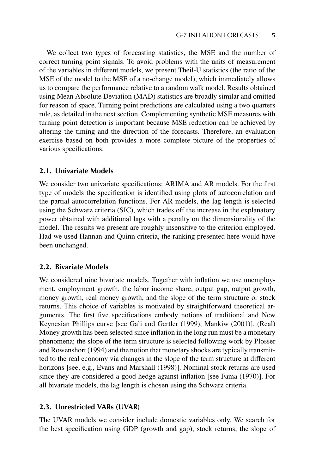We collect two types of forecasting statistics, the MSE and the number of correct turning point signals. To avoid problems with the units of measurement of the variables in different models, we present Theil-U statistics (the ratio of the MSE of the model to the MSE of a no-change model), which immediately allows us to compare the performance relative to a random walk model. Results obtained using Mean Absolute Deviation (MAD) statistics are broadly similar and omitted for reason of space. Turning point predictions are calculated using a two quarters rule, as detailed in the next section. Complementing synthetic MSE measures with turning point detection is important because MSE reduction can be achieved by altering the timing and the direction of the forecasts. Therefore, an evaluation exercise based on both provides a more complete picture of the properties of various specifications.

#### **2.1. Univariate Models**

We consider two univariate specifications: ARIMA and AR models. For the first type of models the specification is identified using plots of autocorrelation and the partial autocorrelation functions. For AR models, the lag length is selected using the Schwarz criteria (SIC), which trades off the increase in the explanatory power obtained with additional lags with a penalty on the dimensionality of the model. The results we present are roughly insensitive to the criterion employed. Had we used Hannan and Quinn criteria, the ranking presented here would have been unchanged.

#### **2.2. Bivariate Models**

We considered nine bivariate models. Together with inflation we use unemployment, employment growth, the labor income share, output gap, output growth, money growth, real money growth, and the slope of the term structure or stock returns. This choice of variables is motivated by straightforward theoretical arguments. The first five specifications embody notions of traditional and New Keynesian Phillips curve [see Gali and Gertler (1999), Mankiw (2001)]. (Real) Money growth has been selected since inflation in the long run must be a monetary phenomena; the slope of the term structure is selected following work by Plosser and Rowenshort (1994) and the notion that monetary shocks are typically transmitted to the real economy via changes in the slope of the term structure at different horizons [see, e.g., Evans and Marshall (1998)]. Nominal stock returns are used since they are considered a good hedge against inflation [see Fama (1970)]. For all bivariate models, the lag length is chosen using the Schwarz criteria.

### **2.3. Unrestricted VARs (UVAR)**

The UVAR models we consider include domestic variables only. We search for the best specification using GDP (growth and gap), stock returns, the slope of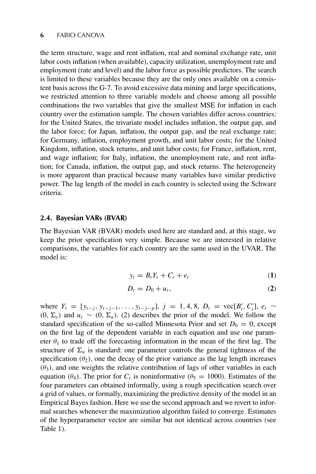#### **6** FABIO CANOVA

the term structure, wage and rent inflation, real and nominal exchange rate, unit labor costs inflation (when available), capacity utilization, unemployment rate and employment (rate and level) and the labor force as possible predictors. The search is limited to these variables because they are the only ones available on a consistent basis across the G-7. To avoid excessive data mining and large specifications, we restricted attention to three variable models and choose among all possible combinations the two variables that give the smallest MSE for inflation in each country over the estimation sample. The chosen variables differ across countries: for the United States, the trivariate model includes inflation, the output gap, and the labor force; for Japan, inflation, the output gap, and the real exchange rate; for Germany, inflation, employment growth, and unit labor costs; for the United Kingdom, inflation, stock returns, and unit labor costs; for France, inflation, rent, and wage inflation; for Italy, inflation, the unemployment rate, and rent inflation; for Canada, inflation, the output gap, and stock returns. The heterogeneity is more apparent than practical because many variables have similar predictive power. The lag length of the model in each country is selected using the Schwarz criteria.

#### **2.4. Bayesian VARs (BVAR)**

The Bayesian VAR (BVAR) models used here are standard and, at this stage, we keep the prior specification very simple. Because we are interested in relative comparisons, the variables for each country are the same used in the UVAR. The model is:

$$
y_t = B_t Y_t + C_t + e_t \tag{1}
$$

$$
D_t = D_0 + u_t, \tag{2}
$$

where  $Y_t = [y_{t-j}, y_{t-j-1}, \ldots, y_{t-j-p}], j = 1, 4, 8, D_t = \text{vec}[B_t', C_t'], e_t \sim$  $(0, \Sigma_e)$  and  $u_t$  ∼  $(0, \Sigma_u)$ . (2) describes the prior of the model. We follow the standard specification of the so-called Minnesota Prior and set  $D_0 = 0$ , except on the first lag of the dependent variable in each equation and use one parameter  $\theta_1$  to trade off the forecasting information in the mean of the first lag. The structure of  $\Sigma_u$  is standard: one parameter controls the general tightness of the specification  $(\theta_2)$ , one the decay of the prior variance as the lag length increases  $(\theta_3)$ , and one weights the relative contribution of lags of other variables in each equation ( $\theta_4$ ). The prior for  $C_t$  is noninformative ( $\theta_5 = 1000$ ). Estimates of the four parameters can obtained informally, using a rough specification search over a grid of values, or formally, maximizing the predictive density of the model in an Empirical Bayes fashion. Here we use the second approach and we revert to informal searches whenever the maximization algorithm failed to converge. Estimates of the hyperparameter vector are similar but not identical across countries (see Table 1).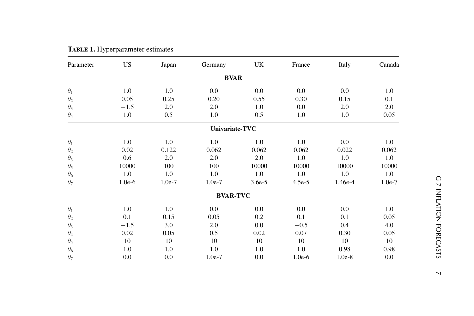| Parameter  | <b>US</b> | Japan    | Germany         | UK.      | France   | Italy    | Canada   |
|------------|-----------|----------|-----------------|----------|----------|----------|----------|
|            |           |          | <b>BVAR</b>     |          |          |          |          |
| $\theta_1$ | 1.0       | 1.0      | $0.0\,$         | $0.0\,$  | 0.0      | 0.0      | 1.0      |
| $\theta_2$ | 0.05      | 0.25     | 0.20            | 0.55     | 0.30     | 0.15     | 0.1      |
| $\theta_3$ | $-1.5$    | 2.0      | 2.0             | 1.0      | 0.0      | 2.0      | 2.0      |
| $\theta_4$ | 1.0       | 0.5      | 1.0             | 0.5      | 1.0      | 1.0      | 0.05     |
|            |           |          | Univariate-TVC  |          |          |          |          |
| $\theta_1$ | 1.0       | 1.0      | 1.0             | 1.0      | 1.0      | 0.0      | 1.0      |
| $\theta_2$ | 0.02      | 0.122    | 0.062           | 0.062    | 0.062    | 0.022    | 0.062    |
| $\theta_3$ | 0.6       | 2.0      | 2.0             | 2.0      | 1.0      | 1.0      | 1.0      |
| $\theta_5$ | 10000     | 100      | 100             | 10000    | 10000    | 10000    | 10000    |
| $\theta_6$ | 1.0       | 1.0      | 1.0             | 1.0      | 1.0      | 1.0      | 1.0      |
| $\theta_7$ | $1.0e-6$  | $1.0e-7$ | $1.0e-7$        | $3.6e-5$ | $4.5e-5$ | 1.46e-4  | $1.0e-7$ |
|            |           |          | <b>BVAR-TVC</b> |          |          |          |          |
| $\theta_1$ | 1.0       | 1.0      | $0.0\,$         | 0.0      | 0.0      | 0.0      | 1.0      |
| $\theta_2$ | 0.1       | 0.15     | 0.05            | 0.2      | 0.1      | 0.1      | 0.05     |
| $\theta_3$ | $-1.5$    | 3.0      | 2.0             | $0.0\,$  | $-0.5$   | 0.4      | 4.0      |
| $\theta_4$ | 0.02      | 0.05     | 0.5             | 0.02     | 0.07     | 0.30     | 0.05     |
| $\theta_5$ | 10        | 10       | 10              | 10       | 10       | 10       | 10       |
| $\theta_6$ | 1.0       | 1.0      | 1.0             | 1.0      | 1.0      | 0.98     | 0.98     |
| $\theta_7$ | 0.0       | 0.0      | $1.0e-7$        | $0.0\,$  | $1.0e-6$ | $1.0e-8$ | $0.0\,$  |

**TABLE 1.** Hyperparameter estimates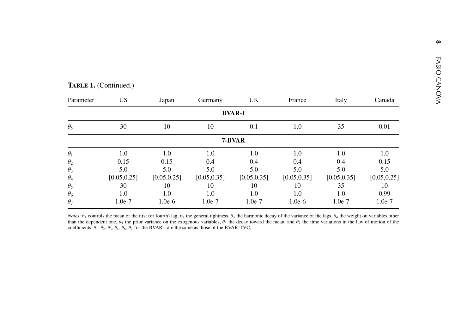|            | TABLE 1. (Continued.) |              |              |               |              |              |              |
|------------|-----------------------|--------------|--------------|---------------|--------------|--------------|--------------|
| Parameter  | US                    | Japan        | Germany      | UK            | France       | Italy        | Canada       |
|            |                       |              |              | <b>BVAR-I</b> |              |              |              |
| $\theta_5$ | 30                    | 10           | 10           | 0.1           | 1.0          | 35           | 0.01         |
|            |                       |              |              | 7-BVAR        |              |              |              |
| $\theta_1$ | 1.0                   | 1.0          | 1.0          | 1.0           | 1.0          | 1.0          | 1.0          |
| $\theta_2$ | 0.15                  | 0.15         | 0.4          | 0.4           | 0.4          | 0.4          | 0.15         |
| $\theta_3$ | 5.0                   | 5.0          | 5.0          | 5.0           | 5.0          | 5.0          | 5.0          |
| $\theta_4$ | [0.05, 0.25]          | [0.05, 0.25] | [0.05, 0.35] | [0.05, 0.35]  | [0.05, 0.35] | [0.05, 0.35] | [0.05, 0.25] |
| $\theta_5$ | 30                    | 10           | 10           | 10            | 10           | 35           | 10           |
| $\theta_6$ | 1.0                   | 1.0          | 1.0          | 1.0           | 1.0          | 1.0          | 0.99         |
| $\theta_7$ | $1.0e-7$              | $1.0e-6$     | $1.0e-7$     | $1.0e-7$      | $1.0e-6$     | $1.0e-7$     | $1.0e-7$     |

*Notes*:  $\theta_1$  controls the mean of the first (or fourth) lag;  $\theta_2$  the general tightness,  $\theta_3$  the harmonic decay of the variance of the lags,  $\theta_4$  the weight on variables other than the dependent one,  $\theta_5$  the prior variance on the exogenous variables,  $\theta_6$  the decay toward the mean, and  $\theta_7$  the time variations in the law of motion of the coefficients.  $\theta_1$ ,  $\theta_2$ ,  $\theta_3$ ,  $\theta_4$ ,  $\theta_6$ ,  $\theta_7$  for the BVAR-I are the same as those of the BVAR-TVC.

**8**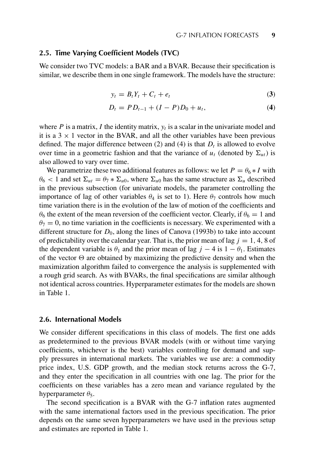#### **2.5. Time Varying Coefficient Models (TVC)**

We consider two TVC models: a BAR and a BVAR. Because their specification is similar, we describe them in one single framework. The models have the structure:

$$
y_t = B_t Y_t + C_t + e_t \tag{3}
$$

$$
D_t = PD_{t-1} + (I - P)D_0 + u_t, \tag{4}
$$

where *P* is a matrix, *I* the identity matrix,  $v_t$  is a scalar in the univariate model and it is a  $3 \times 1$  vector in the BVAR, and all the other variables have been previous defined. The major difference between  $(2)$  and  $(4)$  is that  $D_t$  is allowed to evolve over time in a geometric fashion and that the variance of  $u_t$  (denoted by  $\Sigma_{ut}$ ) is also allowed to vary over time.

We parametrize these two additional features as follows: we let  $P = \theta_6 * I$  with  $\theta_6$  < 1 and set  $\Sigma_{ut} = \theta_7 * \Sigma_{u0}$ , where  $\Sigma_{u0}$  has the same structure as  $\Sigma_u$  described in the previous subsection (for univariate models, the parameter controlling the importance of lag of other variables  $\theta_4$  is set to 1). Here  $\theta_7$  controls how much time variation there is in the evolution of the law of motion of the coefficients and  $\theta_6$  the extent of the mean reversion of the coefficient vector. Clearly, if  $\theta_6 = 1$  and  $\theta_7 = 0$ , no time variation in the coefficients is necessary. We experimented with a different structure for  $D_0$ , along the lines of Canova (1993b) to take into account of predictability over the calendar year. That is, the prior mean of lag  $j = 1, 4, 8$  of the dependent variable is  $\theta_1$  and the prior mean of lag *j* − 4 is 1 −  $\theta_1$ . Estimates of the vector  $\Theta$  are obtained by maximizing the predictive density and when the maximization algorithm failed to convergence the analysis is supplemented with a rough grid search. As with BVARs, the final specifications are similar although not identical across countries. Hyperparameter estimates for the models are shown in Table 1.

#### **2.6. International Models**

We consider different specifications in this class of models. The first one adds as predetermined to the previous BVAR models (with or without time varying coefficients, whichever is the best) variables controlling for demand and supply pressures in international markets. The variables we use are: a commodity price index, U.S. GDP growth, and the median stock returns across the G-7, and they enter the specification in all countries with one lag. The prior for the coefficients on these variables has a zero mean and variance regulated by the hyperparameter  $\theta_5$ .

The second specification is a BVAR with the G-7 inflation rates augmented with the same international factors used in the previous specification. The prior depends on the same seven hyperparameters we have used in the previous setup and estimates are reported in Table 1.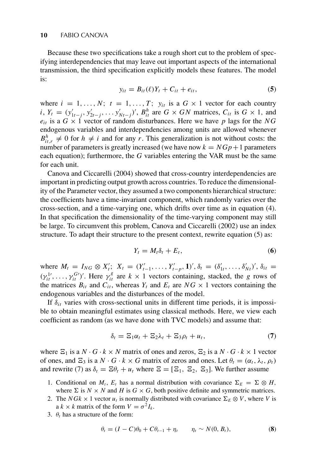Because these two specifications take a rough short cut to the problem of specifying interdependencies that may leave out important aspects of the international transmission, the third specification explicitly models these features. The model is:

$$
y_{it} = B_{it}(\ell)Y_t + C_{it} + e_{it}, \qquad (5)
$$

where  $i = 1, ..., N$ ;  $t = 1, ..., T$ ;  $y_{it}$  is a  $G \times 1$  vector for each country *i*,  $Y_t = (y'_{1t-j}, y'_{2t-j}, \ldots, y'_{Nt-j})'$ ,  $B_{it}^h$  are  $G \times GN$  matrices,  $C_{it}$  is  $G \times 1$ , and  $e_{it}$  is a  $G \times 1$  vector of random disturbances. Here we have *p* lags for the *NG* endogenous variables and interdependencies among units are allowed whenever  $B_{it,r}^h \neq 0$  for  $h \neq i$  and for any *r*. This generalization is not without costs: the number of parameters is greatly increased (we have now  $k = NGP + 1$  parameters each equation); furthermore, the *G* variables entering the VAR must be the same for each unit.

Canova and Ciccarelli (2004) showed that cross-country interdependencies are important in predicting output growth across countries. To reduce the dimensionality of the Parameter vector, they assumed a two components hierarchical structure: the coefficients have a time-invariant component, which randomly varies over the cross-section, and a time-varying one, which drifts over time as in equation (4). In that specification the dimensionality of the time-varying component may still be large. To circumvent this problem, Canova and Ciccarelli (2002) use an index structure. To adapt their structure to the present context, rewrite equation (5) as:

$$
Y_t = M_t \delta_t + E_t, \tag{6}
$$

where  $M_t = I_{NG} \otimes X'_t$ ;  $X_t = (Y'_{t-1}, \ldots, Y'_{t-p}, 1)$ ,  $\delta_t = (\delta'_{1t}, \ldots, \delta'_{Nt})'$ ,  $\delta_{it} =$  $(\gamma_{it}^{1}, \ldots, \gamma_{it}^{G'})'$ . Here  $\gamma_{it}^{g}$  are  $k \times 1$  vectors containing, stacked, the *g* rows of the matrices  $B_{it}$  and  $C_{it}$ , whereas  $Y_t$  and  $E_t$  are  $NG \times 1$  vectors containing the endogenous variables and the disturbances of the model.

If  $\delta_{it}$  varies with cross-sectional units in different time periods, it is impossible to obtain meaningful estimates using classical methods. Here, we view each coefficient as random (as we have done with TVC models) and assume that:

$$
\delta_t = \Xi_1 \alpha_t + \Xi_2 \lambda_t + \Xi_3 \rho_t + u_t, \qquad (7)
$$

where  $\Xi_1$  is a  $N \cdot G \cdot k \times N$  matrix of ones and zeros,  $\Xi_2$  is a  $N \cdot G \cdot k \times 1$  vector of ones, and  $\Xi_3$  is a  $N \cdot G \cdot k \times G$  matrix of zeros and ones. Let  $\theta_t = (\alpha_t, \lambda_t, \rho_t)$ and rewrite (7) as  $\delta_t = \mathbb{E}\theta_t + u_t$  where  $\mathbb{E} = [\mathbb{E}_1, \mathbb{E}_2, \mathbb{E}_3]$ . We further assume

- 1. Conditional on  $M_t$ ,  $E_t$  has a normal distribution with covariance  $\Sigma_E = \Sigma \otimes H$ , where  $\Sigma$  is  $N \times N$  and  $H$  is  $G \times G$ , both positive definite and symmetric matrices.
- 2. The *NGk* × 1 vector  $u_t$  is normally distributed with covariance  $\Sigma_E \otimes V$ , where *V* is a  $k \times k$  matrix of the form  $V = \sigma^2 I_k$ .
- 3.  $\theta_t$  has a structure of the form:

$$
\theta_t = (I - C)\theta_0 + C\theta_{t-1} + \eta_t \qquad \eta_t \sim N(0, B_t), \tag{8}
$$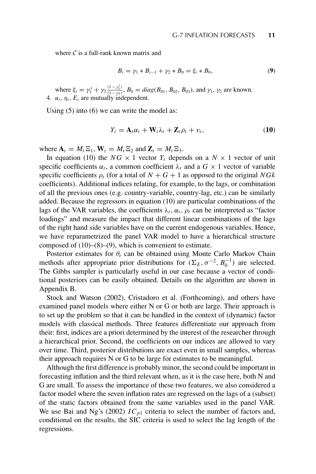where  $\mathcal C$  is a full-rank known matrix and

$$
B_t = \gamma_1 * B_{t-1} + \gamma_2 * B_0 = \xi_t * B_0, \tag{9}
$$

where  $\xi_t = \gamma_1^t + \gamma_2 \frac{(1 - \gamma_1^t)}{(1 - \gamma_1)}$ ,  $B_0 = diag(B_{01}, B_{02}, B_{03})$ , and  $\gamma_1, \gamma_2$  are known. 4.  $u_t$ ,  $\eta_t$ ,  $E_t$  are mutually independent.

Using (5) into (6) we can write the model as:

$$
Y_t = \mathbf{A}_t \alpha_t + \mathbf{W}_t \lambda_t + \mathbf{Z}_t \rho_t + v_t, \qquad (10)
$$

where  $\mathbf{A}_t = M_t \mathbf{\Xi}_1$ ,  $\mathbf{W}_t = M_t \mathbf{\Xi}_2$  and  $\mathbf{Z}_t = M_t \mathbf{\Xi}_3$ .

In equation (10) the  $NG \times 1$  vector  $Y_t$  depends on a  $N \times 1$  vector of unit specific coefficients  $\alpha_t$ , a common coefficient  $\lambda_t$  and a  $G \times 1$  vector of variable specific coefficients  $\rho_t$  (for a total of  $N + G + 1$  as opposed to the original NGk coefficients). Additional indices relating, for example, to the lags, or combination of all the previous ones (e.g. country-variable, country-lag, etc.) can be similarly added. Because the regressors in equation (10) are particular combinations of the lags of the VAR variables, the coefficients  $\lambda_t$ ,  $\alpha_t$ ,  $\rho_t$  can be interpreted as "factor loadings" and measure the impact that different linear combinations of the lags of the right hand side variables have on the current endogenous variables. Hence, we have reparametrized the panel VAR model to have a hierarchical structure composed of  $(10)$ – $(8)$ – $(9)$ , which is convenient to estimate.

Posterior estimates for  $\theta_t$  can be obtained using Monte Carlo Markov Chain methods after appropriate prior distributions for  $(\Sigma_E, \sigma^{-2}, B_0^{-1})$  are selected. The Gibbs sampler is particularly useful in our case because a vector of conditional posteriors can be easily obtained. Details on the algorithm are shown in Appendix B.

Stock and Watson (2002), Cristadoro et al. (Forthcoming), and others have examined panel models where either N or G or both are large. Their approach is to set up the problem so that it can be handled in the context of (dynamic) factor models with classical methods. Three features differentiate our approach from their: first, indices are a priori determined by the interest of the researcher through a hierarchical prior. Second, the coefficients on our indices are allowed to vary over time. Third, posterior distributions are exact even in small samples, whereas their approach requires N or G to be large for estimates to be meaningful.

Although the first difference is probably minor, the second could be important in forecasting inflation and the third relevant when, as it is the case here, both N and G are small. To assess the importance of these two features, we also considered a factor model where the seven inflation rates are regressed on the lags of a (subset) of the static factors obtained from the same variables used in the panel VAR. We use Bai and Ng's (2002)  $IC_{p1}$  criteria to select the number of factors and, conditional on the results, the SIC criteria is used to select the lag length of the regressions.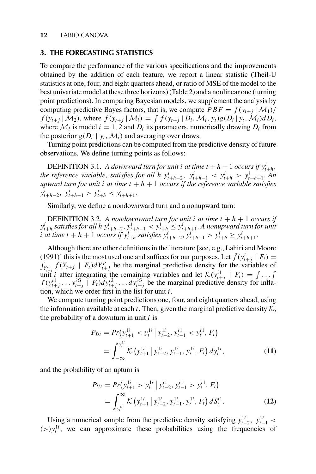#### **3. THE FORECASTING STATISTICS**

To compare the performance of the various specifications and the improvements obtained by the addition of each feature, we report a linear statistic (Theil-U statistics at one, four, and eight quarters ahead, or ratio of MSE of the model to the best univariate model at these three horizons) (Table 2) and a nonlinear one (turning point predictions). In comparing Bayesian models, we supplement the analysis by computing predictive Bayes factors, that is, we compute  $PBF = f(y_{t+1} | \mathcal{M}_1)$  $f(y_{t+i} | \mathcal{M}_2)$ , where  $f(y_{t+i} | \mathcal{M}_i) = \int f(y_{t+i} | D_i, \mathcal{M}_i, y_t) g(D_i | y_t, \mathcal{M}_i) dD_i$ , where  $M_i$  is model  $i = 1, 2$  and  $D_i$  its parameters, numerically drawing  $D_i$  from the posterior  $g(D_i | y_t, M_i)$  and averaging over draws.

Turning point predictions can be computed from the predictive density of future observations. We define turning points as follows:

DEFINITION 3.1. *A downward turn for unit i at time*  $t + h + 1$  *occurs if*  $y_{t+h}^i$ , the reference variable, satisfies for all h  $y_{t+h-2}^i$ ,  $y_{t+h-1}^i < y_{t+h}^i > y_{t+h+1}^i$ . An *upward turn for unit i at time*  $t + h + 1$  *occurs if the reference variable satisfies y*<sup>*i*</sup></sup><sub>*t*+*h*-2*,*</sub> *y*<sup>*i*</sup><sub>*t*+*h*-1</sub> > *y*<sup>*i*</sup><sub>*t*+*h*</sub> < *y*<sup>*i*</sup><sub>*t*+*h*+1*.*</sub>

Similarly, we define a nondownward turn and a nonupward turn:

DEFINITION 3.2. A nondownward turn for unit *i* at time  $t + h + 1$  occurs if  $y_{t+h}^i$  satisfies for all h  $y_{t+h-2}^i$ ,  $y_{t+h-1}^i < y_{t+h}^i \le y_{t+h+1}^i$ . A nonupward turn for unit *i* at time  $t + h + 1$  occurs if  $y_{t+h}^i$  satisfies  $y_{t+h-2}^i$ ,  $y_{t+h-1}^i > y_{t+h}^i \ge y_{t+h+1}^i$ .

Although there are other definitions in the literature [see, e.g., Lahiri and Moore (1991)] this is the most used one and suffices for our purposes. Let  $\tilde{f}(y_{t+i}^i \mid F_t) =$  $\int_{Y_{t+1}^p} f(Y_{t+j} \mid F_t) dY_{t+j}^p$  be the marginal predictive density for the variables of unit *i* after integrating the remaining variables and let  $\mathcal{K}(y_{t+j}^{i1} | F_t) = \int \ldots$  $f(y_{t+j}^{i1}, \ldots, y_{t+j}^{iG} \mid F_t) dy_{t+j}^{i2}, \ldots dy_{t+j}^{iG}$  be the marginal predictive density for inflation, which we order first in the list for unit *i*.

We compute turning point predictions one, four, and eight quarters ahead, using the information available at each  $t$ . Then, given the marginal predictive density  $K$ , the probability of a downturn in unit *i* is

$$
P_{Dt} = Pr(y_{t+1}^{1i} < y_t^{1i} \mid y_{t-2}^{1i}, y_{t-1}^{i1} < y_t^{i1}, F_t)
$$
\n
$$
= \int_{-\infty}^{y_t^{1i}} \mathcal{K}(y_{t+1}^{1i} \mid y_{t-2}^{1i}, y_{t-1}^{1i}, y_t^{1i}, F_t) \, dy_t^{1i}, \tag{11}
$$

and the probability of an upturn is

$$
P_{Ut} = Pr(y_{t+1}^{1i} > y_t^{1i} | y_{t-2}^{i1}, y_{t-1}^{i1} > y_t^{i1}, F_t)
$$
  
= 
$$
\int_{y_t^{1i}}^{\infty} K(y_{t+1}^{1i} | y_{t-2}^{1i}, y_{t-1}^{1i}, y_t^{1i}, F_t) dS_t^{i1}.
$$
 (12)

Using a numerical sample from the predictive density satisfying  $y_{t-2}^{1i}$ ,  $y_{t-1}^{1i}$  <  $(>)y_t^{1i}$ , we can approximate these probabilities using the frequencies of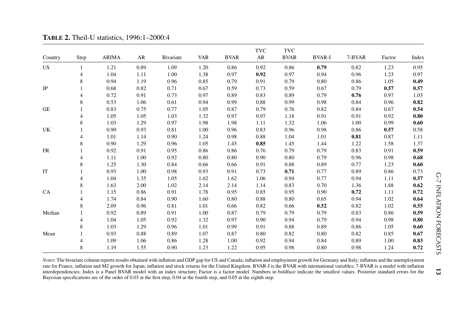| Country   | Step           | <b>ARIMA</b> | AR   | Bivariate    | <b>VAR</b>   | <b>BVAR</b>  | <b>TVC</b><br>AR | <b>TVC</b><br><b>BVAR</b> | <b>BVAR-I</b> | 7-BVAR       | Factor       | Index    |
|-----------|----------------|--------------|------|--------------|--------------|--------------|------------------|---------------------------|---------------|--------------|--------------|----------|
| <b>US</b> |                | 1.21         | 0.89 | 1.09         |              | 0.86         | 0.92             | 0.86                      | 0.79          | 0.82         |              | 0.95     |
|           |                | 1.04         | 1.11 | 1.00         | 1.20<br>1.38 | 0.97         | 0.92             | 0.97                      | 0.94          | 0.96         | 1.23<br>1.23 | 0.97     |
|           | 4              | 0.94         | 1.19 |              |              |              |                  |                           |               |              | 1.05         | 0.49     |
|           | 8              | 0.68         | 0.82 | 0.96<br>0.71 | 0.85<br>0.67 | 0.79<br>0.59 | 0.91             | 0.79                      | 0.80          | 0.86<br>0.79 | 0.57         | 0.57     |
| $\rm JP$  |                | 0.72         |      |              | 0.97         |              | 0.73<br>0.83     | 0.59                      | 0.67<br>0.79  |              |              |          |
|           | $\overline{4}$ |              | 0.91 | 0.73         |              | 0.89         |                  | 0.89                      |               | 0.76         | 0.97         | 1.03     |
|           | 8              | 0.53         | 1.06 | 0.61         | 0.94         | 0.99         | 0.88             | 0.99                      | 0.98          | 0.84         | 0.96         | 0.82     |
| GE        |                | 0.83         | 0.75 | 0.77         | 1.05         | 0.87         | 0.79             | 0.76                      | 0.82          | 0.84         | 0.67         | 0.54     |
|           | $\overline{4}$ | 1.05         | 1.05 | 1.03         | 1.32         | 0.97         | 0.97             | 1.18                      | 0.91          | 0.91         | 0.92         | 0.80     |
|           | 8              | 1.03         | 1.29 | 0.97         | 1.98         | 1.98         | 1.11             | 1.32                      | 1.06          | 1.00         | 0.99         | 0.60     |
| UK        |                | 0.90         | 0.93 | 0.81         | 1.00         | 0.96         | 0.83             | 0.96                      | 0.98          | 0.86         | 0.57         | $0.58\,$ |
|           | $\overline{4}$ | 1.01         | 1.14 | 0.90         | 1.24         | 0.98         | 0.88             | 1.04                      | 1.01          | 0.81         | 0.87         | 1.11     |
|           | 8              | 0.90         | 1.29 | 0.96         | 1.05         | 1.45         | 0.85             | 1.45                      | 1.44          | 1.22         | 1.58         | 1.37     |
| <b>FR</b> |                | 0.92         | 0.91 | 0.95         | 0.86         | 0.86         | 0.76             | 0.79                      | 0.79          | 0.83         | 0.91         | 0.59     |
|           | 4              | 1.11         | 1.00 | 0.92         | 0.80         | 0.80         | 0.90             | 0.80                      | 0.79          | 0.96         | 0.98         | 0.68     |
|           | 8              | 1.25         | 1.30 | 0.84         | 0.66         | 0.66         | 0.91             | 0.88                      | 0.89          | 0.77         | 1.23         | 0.60     |
| IT        |                | 0.93         | 1.00 | 0.98         | 0.93         | 0.91         | 0.73             | 0.71                      | 0.77          | 0.89         | 0.86         | 0.73     |
|           | $\overline{4}$ | 1.04         | 1.35 | 1.05         | 1.62         | 1.62         | 1.06             | 0.94                      | 0.77          | 0.94         | 1.11         | 0.57     |
|           | 8              | 1.63         | 2.00 | 1.02         | 2.14         | 2.14         | 1.14             | 0.83                      | 0.70          | 1.36         | 1.88         | 0.62     |
| CA        |                | 1.15         | 0.86 | 0.91         | 1.78         | 0.95         | 0.85             | 0.95                      | 0.90          | 0.72         | 1.11         | 0.72     |
|           | 4              | 1.74         | 0.84 | 0.90         | 1.60         | 0.80         | 0.88             | 0.80                      | 0.65          | 0.94         | 1.02         | 0.64     |
|           | 8              | 2.09         | 0.96 | 0.81         | 1.01         | 0.66         | 0.82             | 0.66                      | 0.52          | 0.82         | 1.02         | 0.55     |
| Median    |                | 0.92         | 0.89 | 0.91         | 1.00         | 0.87         | 0.79             | 0.79                      | 0.79          | 0.83         | 0.86         | 0.59     |
|           | $\overline{4}$ | 1.04         | 1.05 | 0.92         | 1.32         | 0.97         | 0.90             | 0.94                      | 0.79          | 0.94         | 0.98         | 0.80     |
|           | 8              | 1.03         | 1.29 | 0.96         | 1.01         | 0.99         | 0.91             | 0.88                      | 0.89          | 0.86         | 1.05         | 0.60     |
| Mean      |                | 0.93         | 0.88 | 0.89         | 1.07         | 0.87         | 0.80             | 0.82                      | 0.80          | 0.82         | 0.85         | 0.67     |
|           | 4              | 1.09         | 1.06 | 0.86         | 1.28         | 1.00         | 0.92             | 0.94                      | 0.84          | 0.89         | 1.00         | 0.83     |
|           | 8              | 1.19         | 1.55 | 0.90         | 1.23         | 1.22         | 0.95             | 0.98                      | 0.80          | 0.98         | 1.24         | 0.72     |

**TABLE 2.** Theil-U statistics, 1996:1–2000:4

*Notes*: The bivariate column reports results obtained with inflation and GDP gap for US and Canada; inflation and employment growth for Germany and Italy; inflation and the unemployment rate for France, inflation and M2 growth for Japan; inflation and stock returns for the United Kingdom. BVAR-I is the BVAR with international variables; 7-BVAR is a model with inflation interdependencies; Index is <sup>a</sup> Panel BVAR model with an index structure; Factor is <sup>a</sup> factor model. Numbers in boldface indicate the smallest values. Posterior standard errors for the Bayesian specifications are of the order of 0.03 at the first step, 0.04 at the fourth step, and 0.05 at the eighth step.

**13**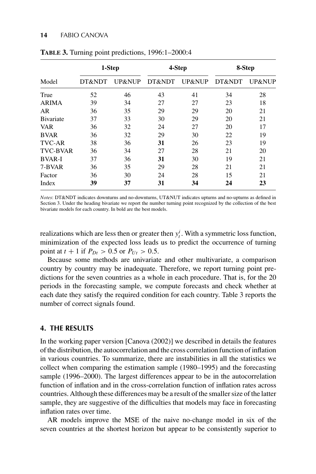|                   |        | 1-Step | 4-Step |        | 8-Step |        |  |
|-------------------|--------|--------|--------|--------|--------|--------|--|
| Model             | DT&NDT | UP&NUP | DT&NDT | UP&NUP | DT&NDT | UP&NUP |  |
| True              | 52     | 46     | 43     | 41     | 34     | 28     |  |
| <b>ARIMA</b>      | 39     | 34     | 27     | 27     | 23     | 18     |  |
| AR                | 36     | 35     | 29     | 29     | 20     | 21     |  |
| <b>B</b> ivariate | 37     | 33     | 30     | 29     | 20     | 21     |  |
| <b>VAR</b>        | 36     | 32     | 24     | 27     | 20     | 17     |  |
| <b>BVAR</b>       | 36     | 32     | 29     | 30     | 22     | 19     |  |
| TVC-AR            | 38     | 36     | 31     | 26     | 23     | 19     |  |
| <b>TVC-BVAR</b>   | 36     | 34     | 27     | 28     | 21     | 20     |  |
| <b>BVAR-I</b>     | 37     | 36     | 31     | 30     | 19     | 21     |  |
| 7-BVAR            | 36     | 35     | 29     | 28     | 21     | 21     |  |
| Factor            | 36     | 30     | 24     | 28     | 15     | 21     |  |
| Index             | 39     | 37     | 31     | 34     | 24     | 23     |  |

**TABLE 3.** Turning point predictions, 1996:1–2000:4

*Notes*: DT&NDT indicates downturns and no-downturns, UT&NUT indicates upturns and no-upturns as defined in Section 3. Under the heading bivariate we report the number turning point recognized by the collection of the best bivariate models for each country. In bold are the best models.

realizations which are less then or greater then  $y_t^i$ . With a symmetric loss function, minimization of the expected loss leads us to predict the occurrence of turning point at *t* + 1 if  $P_{Dt} > 0.5$  or  $P_{Ut} > 0.5$ .

Because some methods are univariate and other multivariate, a comparison country by country may be inadequate. Therefore, we report turning point predictions for the seven countries as a whole in each procedure. That is, for the 20 periods in the forecasting sample, we compute forecasts and check whether at each date they satisfy the required condition for each country. Table 3 reports the number of correct signals found.

#### **4. THE RESULTS**

In the working paper version [Canova (2002)] we described in details the features of the distribution, the autocorrelation and the cross correlation function of inflation in various countries. To summarize, there are instabilities in all the statistics we collect when comparing the estimation sample (1980–1995) and the forecasting sample (1996–2000). The largest differences appear to be in the autocorrelation function of inflation and in the cross-correlation function of inflation rates across countries. Although these differences may be a result of the smaller size of the latter sample, they are suggestive of the difficulties that models may face in forecasting inflation rates over time.

AR models improve the MSE of the naive no-change model in six of the seven countries at the shortest horizon but appear to be consistently superior to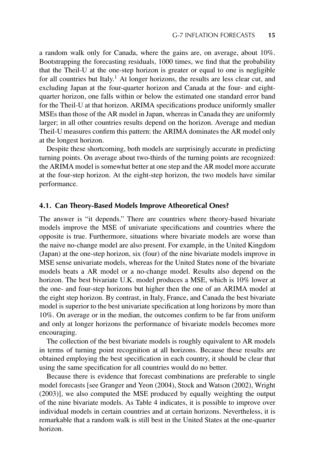a random walk only for Canada, where the gains are, on average, about 10%. Bootstrapping the forecasting residuals, 1000 times, we find that the probability that the Theil-U at the one-step horizon is greater or equal to one is negligible for all countries but Italy.<sup>1</sup> At longer horizons, the results are less clear cut, and excluding Japan at the four-quarter horizon and Canada at the four- and eightquarter horizon, one falls within or below the estimated one standard error band for the Theil-U at that horizon. ARIMA specifications produce uniformly smaller MSEs than those of the AR model in Japan, whereas in Canada they are uniformly larger; in all other countries results depend on the horizon. Average and median Theil-U measures confirm this pattern: the ARIMA dominates the AR model only at the longest horizon.

Despite these shortcoming, both models are surprisingly accurate in predicting turning points. On average about two-thirds of the turning points are recognized: the ARIMA model is somewhat better at one step and the AR model more accurate at the four-step horizon. At the eight-step horizon, the two models have similar performance.

#### **4.1. Can Theory-Based Models Improve Atheoretical Ones?**

The answer is "it depends." There are countries where theory-based bivariate models improve the MSE of univariate specifications and countries where the opposite is true. Furthermore, situations where bivariate models are worse than the naive no-change model are also present. For example, in the United Kingdom (Japan) at the one-step horizon, six (four) of the nine bivariate models improve in MSE sense univariate models, whereas for the United States none of the bivariate models beats a AR model or a no-change model. Results also depend on the horizon. The best bivariate U.K. model produces a MSE, which is 10% lower at the one- and four-step horizons but higher then the one of an ARIMA model at the eight step horizon. By contrast, in Italy, France, and Canada the best bivariate model is superior to the best univariate specification at long horizons by more than 10%. On average or in the median, the outcomes confirm to be far from uniform and only at longer horizons the performance of bivariate models becomes more encouraging.

The collection of the best bivariate models is roughly equivalent to AR models in terms of turning point recognition at all horizons. Because these results are obtained employing the best specification in each country, it should be clear that using the same specification for all countries would do no better.

Because there is evidence that forecast combinations are preferable to single model forecasts [see Granger and Yeon (2004), Stock and Watson (2002), Wright (2003)], we also computed the MSE produced by equally weighting the output of the nine bivariate models. As Table 4 indicates, it is possible to improve over individual models in certain countries and at certain horizons. Nevertheless, it is remarkable that a random walk is still best in the United States at the one-quarter horizon.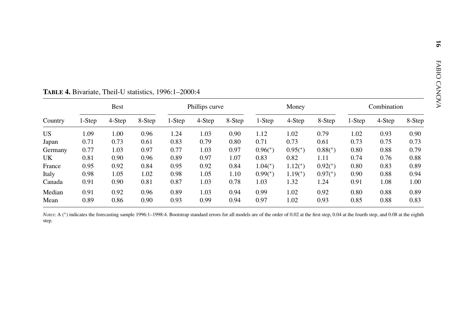|         | <b>Best</b> |        |        | Phillips curve |        |        | Money                   |           |                       | Combination |        |        |
|---------|-------------|--------|--------|----------------|--------|--------|-------------------------|-----------|-----------------------|-------------|--------|--------|
| Country | $1-Step$    | 4-Step | 8-Step | $1-Step$       | 4-Step | 8-Step | 1-Step                  | 4-Step    | 8-Step                | $1-Step$    | 4-Step | 8-Step |
| US.     | 1.09        | 1.00   | 0.96   | 1.24           | 1.03   | 0.90   | 1.12                    | 1.02      | 0.79                  | 1.02        | 0.93   | 0.90   |
| Japan   | 0.71        | 0.73   | 0.61   | 0.83           | 0.79   | 0.80   | 0.71                    | 0.73      | 0.61                  | 0.73        | 0.75   | 0.73   |
| Germany | 0.77        | 1.03   | 0.97   | 0.77           | 1.03   | 0.97   | $0.96(*)$               | $0.95(*)$ | $0.88$ <sup>*</sup> ) | 0.80        | 0.88   | 0.79   |
| UK.     | 0.81        | 0.90   | 0.96   | 0.89           | 0.97   | 1.07   | 0.83                    | 0.82      | 1.11                  | 0.74        | 0.76   | 0.88   |
| France  | 0.95        | 0.92   | 0.84   | 0.95           | 0.92   | 0.84   | $1.04$ <sup>(*)</sup> ) | $1.12(*)$ | $0.92$ <sup>*</sup> ) | 0.80        | 0.83   | 0.89   |
| Italy   | 0.98        | 1.05   | 1.02   | 0.98           | 1.05   | 1.10   | $0.99$ <sup>(*)</sup> ) | $1.19(*)$ | $0.97$ <sup>*</sup> ) | 0.90        | 0.88   | 0.94   |
| Canada  | 0.91        | 0.90   | 0.81   | 0.87           | 1.03   | 0.78   | 1.03                    | 1.32      | 1.24                  | 0.91        | 1.08   | 1.00   |
| Median  | 0.91        | 0.92   | 0.96   | 0.89           | 1.03   | 0.94   | 0.99                    | 1.02      | 0.92                  | 0.80        | 0.88   | 0.89   |
| Mean    | 0.89        | 0.86   | 0.90   | 0.93           | 0.99   | 0.94   | 0.97                    | 1.02      | 0.93                  | 0.85        | 0.88   | 0.83   |

*Notes*: A (\*) indicates the forecasting sample 1996:1–1998:4. Bootstrap standard errors for all models are of the order of 0.02 at the first step, 0.04 at the fourth step, and 0.08 at the eighth step.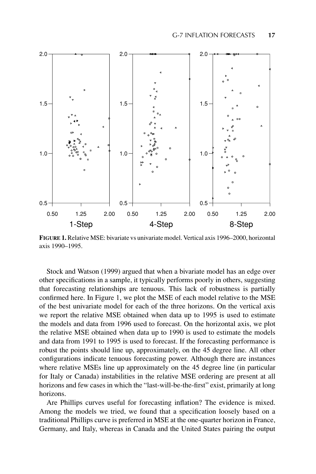

**FIGURE 1.**Relative MSE: bivariate vs univariate model. Vertical axis 1996–2000, horizontal axis 1990–1995.

Stock and Watson (1999) argued that when a bivariate model has an edge over other specifications in a sample, it typically performs poorly in others, suggesting that forecasting relationships are tenuous. This lack of robustness is partially confirmed here. In Figure 1, we plot the MSE of each model relative to the MSE of the best univariate model for each of the three horizons. On the vertical axis we report the relative MSE obtained when data up to 1995 is used to estimate the models and data from 1996 used to forecast. On the horizontal axis, we plot the relative MSE obtained when data up to 1990 is used to estimate the models and data from 1991 to 1995 is used to forecast. If the forecasting performance is robust the points should line up, approximately, on the 45 degree line. All other configurations indicate tenuous forecasting power. Although there are instances where relative MSEs line up approximately on the 45 degree line (in particular for Italy or Canada) instabilities in the relative MSE ordering are present at all horizons and few cases in which the "last-will-be-the-first" exist, primarily at long horizons.

Are Phillips curves useful for forecasting inflation? The evidence is mixed. Among the models we tried, we found that a specification loosely based on a traditional Phillips curve is preferred in MSE at the one-quarter horizon in France, Germany, and Italy, whereas in Canada and the United States pairing the output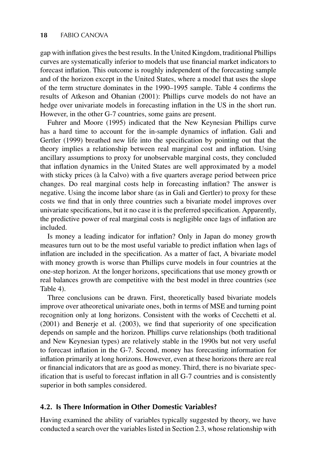gap with inflation gives the best results. In the United Kingdom, traditional Phillips curves are systematically inferior to models that use financial market indicators to forecast inflation. This outcome is roughly independent of the forecasting sample and of the horizon except in the United States, where a model that uses the slope of the term structure dominates in the 1990–1995 sample. Table 4 confirms the results of Atkeson and Ohanian (2001): Phillips curve models do not have an hedge over univariate models in forecasting inflation in the US in the short run. However, in the other G-7 countries, some gains are present.

Fuhrer and Moore (1995) indicated that the New Keynesian Phillips curve has a hard time to account for the in-sample dynamics of inflation. Gali and Gertler (1999) breathed new life into the specification by pointing out that the theory implies a relationship between real marginal cost and inflation. Using ancillary assumptions to proxy for unobservable marginal costs, they concluded that inflation dynamics in the United States are well approximated by a model with sticky prices (à la Calvo) with a five quarters average period between price changes. Do real marginal costs help in forecasting inflation? The answer is negative. Using the income labor share (as in Gali and Gertler) to proxy for these costs we find that in only three countries such a bivariate model improves over univariate specifications, but it no case it is the preferred specification. Apparently, the predictive power of real marginal costs is negligible once lags of inflation are included.

Is money a leading indicator for inflation? Only in Japan do money growth measures turn out to be the most useful variable to predict inflation when lags of inflation are included in the specification. As a matter of fact, A bivariate model with money growth is worse than Phillips curve models in four countries at the one-step horizon. At the longer horizons, specifications that use money growth or real balances growth are competitive with the best model in three countries (see Table 4).

Three conclusions can be drawn. First, theoretically based bivariate models improve over atheoretical univariate ones, both in terms of MSE and turning point recognition only at long horizons. Consistent with the works of Cecchetti et al. (2001) and Benerje et al. (2003), we find that superiority of one specification depends on sample and the horizon. Phillips curve relationships (both traditional and New Keynesian types) are relatively stable in the 1990s but not very useful to forecast inflation in the G-7. Second, money has forecasting information for inflation primarily at long horizons. However, even at these horizons there are real or financial indicators that are as good as money. Third, there is no bivariate specification that is useful to forecast inflation in all G-7 countries and is consistently superior in both samples considered.

#### **4.2. Is There Information in Other Domestic Variables?**

Having examined the ability of variables typically suggested by theory, we have conducted a search over the variables listed in Section 2.3, whose relationship with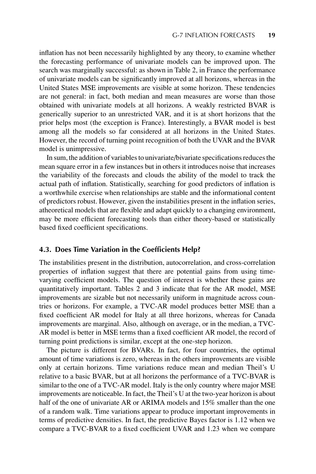inflation has not been necessarily highlighted by any theory, to examine whether the forecasting performance of univariate models can be improved upon. The search was marginally successful: as shown in Table 2, in France the performance of univariate models can be significantly improved at all horizons, whereas in the United States MSE improvements are visible at some horizon. These tendencies are not general: in fact, both median and mean measures are worse than those obtained with univariate models at all horizons. A weakly restricted BVAR is generically superior to an unrestricted VAR, and it is at short horizons that the prior helps most (the exception is France). Interestingly, a BVAR model is best among all the models so far considered at all horizons in the United States. However, the record of turning point recognition of both the UVAR and the BVAR model is unimpressive.

In sum, the addition of variables to univariate/bivariate specifications reduces the mean square error in a few instances but in others it introduces noise that increases the variability of the forecasts and clouds the ability of the model to track the actual path of inflation. Statistically, searching for good predictors of inflation is a worthwhile exercise when relationships are stable and the informational content of predictors robust. However, given the instabilities present in the inflation series, atheoretical models that are flexible and adapt quickly to a changing environment, may be more efficient forecasting tools than either theory-based or statistically based fixed coefficient specifications.

#### **4.3. Does Time Variation in the Coefficients Help?**

The instabilities present in the distribution, autocorrelation, and cross-correlation properties of inflation suggest that there are potential gains from using timevarying coefficient models. The question of interest is whether these gains are quantitatively important. Tables 2 and 3 indicate that for the AR model, MSE improvements are sizable but not necessarily uniform in magnitude across countries or horizons. For example, a TVC-AR model produces better MSE than a fixed coefficient AR model for Italy at all three horizons, whereas for Canada improvements are marginal. Also, although on average, or in the median, a TVC-AR model is better in MSE terms than a fixed coefficient AR model, the record of turning point predictions is similar, except at the one-step horizon.

The picture is different for BVARs. In fact, for four countries, the optimal amount of time variations is zero, whereas in the others improvements are visible only at certain horizons. Time variations reduce mean and median Theil's U relative to a basic BVAR, but at all horizons the performance of a TVC-BVAR is similar to the one of a TVC-AR model. Italy is the only country where major MSE improvements are noticeable. In fact, the Theil's U at the two-year horizon is about half of the one of univariate AR or ARIMA models and 15% smaller than the one of a random walk. Time variations appear to produce important improvements in terms of predictive densities. In fact, the predictive Bayes factor is 1.12 when we compare a TVC-BVAR to a fixed coefficient UVAR and 1.23 when we compare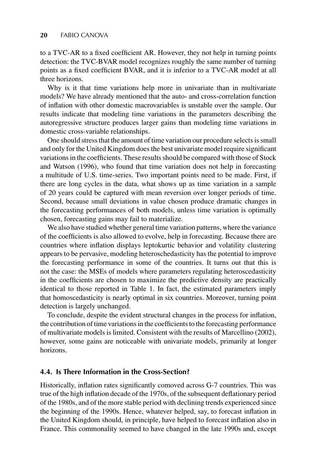to a TVC-AR to a fixed coefficient AR. However, they not help in turning points detection: the TVC-BVAR model recognizes roughly the same number of turning points as a fixed coefficient BVAR, and it is inferior to a TVC-AR model at all three horizons.

Why is it that time variations help more in univariate than in multivariate models? We have already mentioned that the auto- and cross-correlation function of inflation with other domestic macrovariables is unstable over the sample. Our results indicate that modeling time variations in the parameters describing the autoregressive structure produces larger gains than modeling time variations in domestic cross-variable relationships.

One should stress that the amount of time variation our procedure selects is small and only for the United Kingdom does the best univariate model require significant variations in the coefficients. These results should be compared with those of Stock and Watson (1996), who found that time variation does not help in forecasting a multitude of U.S. time-series. Two important points need to be made. First, if there are long cycles in the data, what shows up as time variation in a sample of 20 years could be captured with mean reversion over longer periods of time. Second, because small deviations in value chosen produce dramatic changes in the forecasting performances of both models, unless time variation is optimally chosen, forecasting gains may fail to materialize.

We also have studied whether general time variation patterns, where the variance of the coefficients is also allowed to evolve, help in forecasting. Because there are countries where inflation displays leptokurtic behavior and volatility clustering appears to be pervasive, modeling heteroschedasticity has the potential to improve the forecasting performance in some of the countries. It turns out that this is not the case: the MSEs of models where parameters regulating heteroscedasticity in the coefficients are chosen to maximize the predictive density are practically identical to those reported in Table 1. In fact, the estimated parameters imply that homoscedasticity is nearly optimal in six countries. Moreover, turning point detection is largely unchanged.

To conclude, despite the evident structural changes in the process for inflation, the contribution of time variations in the coefficients to the forecasting performance of multivariate models is limited. Consistent with the results of Marcellino (2002), however, some gains are noticeable with univariate models, primarily at longer horizons.

#### **4.4. Is There Information in the Cross-Section?**

Historically, inflation rates significantly comoved across G-7 countries. This was true of the high inflation decade of the 1970s, of the subsequent deflationary period of the 1980s, and of the more stable period with declining trends experienced since the beginning of the 1990s. Hence, whatever helped, say, to forecast inflation in the United Kingdom should, in principle, have helped to forecast inflation also in France. This commonality seemed to have changed in the late 1990s and, except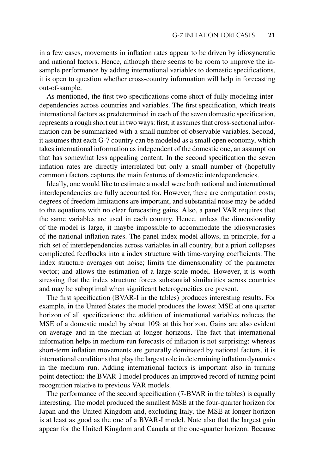in a few cases, movements in inflation rates appear to be driven by idiosyncratic and national factors. Hence, although there seems to be room to improve the insample performance by adding international variables to domestic specifications, it is open to question whether cross-country information will help in forecasting out-of-sample.

As mentioned, the first two specifications come short of fully modeling interdependencies across countries and variables. The first specification, which treats international factors as predetermined in each of the seven domestic specification, represents a rough short cut in two ways: first, it assumes that cross-sectional information can be summarized with a small number of observable variables. Second, it assumes that each G-7 country can be modeled as a small open economy, which takes international information as independent of the domestic one, an assumption that has somewhat less appealing content. In the second specification the seven inflation rates are directly interrelated but only a small number of (hopefully common) factors captures the main features of domestic interdependencies.

Ideally, one would like to estimate a model were both national and international interdependencies are fully accounted for. However, there are computation costs; degrees of freedom limitations are important, and substantial noise may be added to the equations with no clear forecasting gains. Also, a panel VAR requires that the same variables are used in each country. Hence, unless the dimensionality of the model is large, it maybe impossible to accommodate the idiosyncrasies of the national inflation rates. The panel index model allows, in principle, for a rich set of interdependencies across variables in all country, but a priori collapses complicated feedbacks into a index structure with time-varying coefficients. The index structure averages out noise; limits the dimensionality of the parameter vector; and allows the estimation of a large-scale model. However, it is worth stressing that the index structure forces substantial similarities across countries and may be suboptimal when significant heterogeneities are present.

The first specification (BVAR-I in the tables) produces interesting results. For example, in the United States the model produces the lowest MSE at one quarter horizon of all specifications: the addition of international variables reduces the MSE of a domestic model by about 10% at this horizon. Gains are also evident on average and in the median at longer horizons. The fact that international information helps in medium-run forecasts of inflation is not surprising: whereas short-term inflation movements are generally dominated by national factors, it is international conditions that play the largest role in determining inflation dynamics in the medium run. Adding international factors is important also in turning point detection: the BVAR-I model produces an improved record of turning point recognition relative to previous VAR models.

The performance of the second specification (7-BVAR in the tables) is equally interesting. The model produced the smallest MSE at the four-quarter horizon for Japan and the United Kingdom and, excluding Italy, the MSE at longer horizon is at least as good as the one of a BVAR-I model. Note also that the largest gain appear for the United Kingdom and Canada at the one-quarter horizon. Because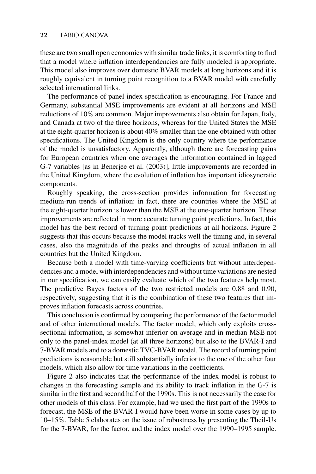these are two small open economies with similar trade links, it is comforting to find that a model where inflation interdependencies are fully modeled is appropriate. This model also improves over domestic BVAR models at long horizons and it is roughly equivalent in turning point recognition to a BVAR model with carefully selected international links.

The performance of panel-index specification is encouraging. For France and Germany, substantial MSE improvements are evident at all horizons and MSE reductions of 10% are common. Major improvements also obtain for Japan, Italy, and Canada at two of the three horizons, whereas for the United States the MSE at the eight-quarter horizon is about 40% smaller than the one obtained with other specifications. The United Kingdom is the only country where the performance of the model is unsatisfactory. Apparently, although there are forecasting gains for European countries when one averages the information contained in lagged G-7 variables [as in Benerjee et al. (2003)], little improvements are recorded in the United Kingdom, where the evolution of inflation has important idiosyncratic components.

Roughly speaking, the cross-section provides information for forecasting medium-run trends of inflation: in fact, there are countries where the MSE at the eight-quarter horizon is lower than the MSE at the one-quarter horizon. These improvements are reflected in more accurate turning point predictions. In fact, this model has the best record of turning point predictions at all horizons. Figure 2 suggests that this occurs because the model tracks well the timing and, in several cases, also the magnitude of the peaks and throughs of actual inflation in all countries but the United Kingdom.

Because both a model with time-varying coefficients but without interdependencies and a model with interdependencies and without time variations are nested in our specification, we can easily evaluate which of the two features help most. The predictive Bayes factors of the two restricted models are 0.88 and 0.90, respectively, suggesting that it is the combination of these two features that improves inflation forecasts across countries.

This conclusion is confirmed by comparing the performance of the factor model and of other international models. The factor model, which only exploits crosssectional information, is somewhat inferior on average and in median MSE not only to the panel-index model (at all three horizons) but also to the BVAR-I and 7-BVAR models and to a domestic TVC-BVAR model. The record of turning point predictions is reasonable but still substantially inferior to the one of the other four models, which also allow for time variations in the coefficients.

Figure 2 also indicates that the performance of the index model is robust to changes in the forecasting sample and its ability to track inflation in the G-7 is similar in the first and second half of the 1990s. This is not necessarily the case for other models of this class. For example, had we used the first part of the 1990s to forecast, the MSE of the BVAR-I would have been worse in some cases by up to 10–15%. Table 5 elaborates on the issue of robustness by presenting the Theil-Us for the 7-BVAR, for the factor, and the index model over the 1990–1995 sample.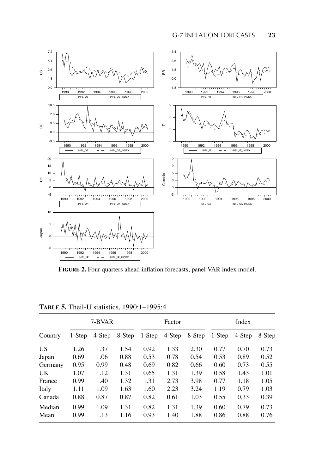

**FIGURE 2.** Four quarters ahead inflation forecasts, panel VAR index model.

|         |        | 7-BVAR |        |          | Factor |        | Index  |        |        |  |
|---------|--------|--------|--------|----------|--------|--------|--------|--------|--------|--|
| Country | 1-Step | 4-Step | 8-Step | $1-Step$ | 4-Step | 8-Step | 1-Step | 4-Step | 8-Step |  |
| US      | 1.26   | 1.37   | 1.54   | 0.92     | 1.33   | 2.30   | 0.77   | 0.70   | 0.73   |  |
| Japan   | 0.69   | 1.06   | 0.88   | 0.53     | 0.78   | 0.54   | 0.53   | 0.89   | 0.52   |  |
| Germany | 0.95   | 0.99   | 0.48   | 0.69     | 0.82   | 0.66   | 0.60   | 0.73   | 0.55   |  |
| UK      | 1.07   | 1.12   | 1.31   | 0.65     | 1.31   | 1.39   | 0.58   | 1.43   | 1.01   |  |
| France  | 0.99   | 1.40   | 1.32   | 1.31     | 2.73   | 3.98   | 0.77   | 1.18   | 1.05   |  |
| Italy   | 1.11   | 1.09   | 1.63   | 1.60     | 2.23   | 3.24   | 1.19   | 0.79   | 1.03   |  |
| Canada  | 0.88   | 0.87   | 0.87   | 0.82     | 0.61   | 1.03   | 0.55   | 0.33   | 0.39   |  |
| Median  | 0.99   | 1.09   | 1.31   | 0.82     | 1.31   | 1.39   | 0.60   | 0.79   | 0.73   |  |
| Mean    | 0.99   | 1.13   | 1.16   | 0.93     | 1.40   | 1.88   | 0.86   | 0.88   | 0.76   |  |

**TABLE 5.** Theil-U statistics, 1990:1–1995:4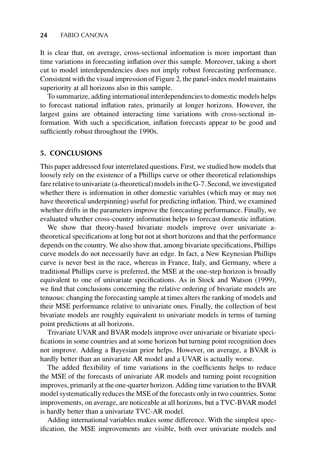It is clear that, on average, cross-sectional information is more important than time variations in forecasting inflation over this sample. Moreover, taking a short cut to model interdependencies does not imply robust forecasting performance. Consistent with the visual impression of Figure 2, the panel-index model maintains superiority at all horizons also in this sample.

To summarize, adding international interdependencies to domestic models helps to forecast national inflation rates, primarily at longer horizons. However, the largest gains are obtained interacting time variations with cross-sectional information. With such a specification, inflation forecasts appear to be good and sufficiently robust throughout the 1990s.

#### **5. CONCLUSIONS**

This paper addressed four interrelated questions. First, we studied how models that loosely rely on the existence of a Phillips curve or other theoretical relationships fare relative to univariate (a-theoretical) models in the G-7. Second, we investigated whether there is information in other domestic variables (which may or may not have theoretical underpinning) useful for predicting inflation. Third, we examined whether drifts in the parameters improve the forecasting performance. Finally, we evaluated whether cross-country information helps to forecast domestic inflation.

We show that theory-based bivariate models improve over univariate atheoretical specifications at long but not at short horizons and that the performance depends on the country. We also show that, among bivariate specifications, Phillips curve models do not necessarily have an edge. In fact, a New Keynesian Phillips curve is never best in the race, whereas in France, Italy, and Germany, where a traditional Phillips curve is preferred, the MSE at the one-step horizon is broadly equivalent to one of univariate specifications. As in Stock and Watson (1999), we find that conclusions concerning the relative ordering of bivariate models are tenuous: changing the forecasting sample at times alters the ranking of models and their MSE performance relative to univariate ones. Finally, the collection of best bivariate models are roughly equivalent to univariate models in terms of turning point predictions at all horizons.

Trivariate UVAR and BVAR models improve over univariate or bivariate specifications in some countries and at some horizon but turning point recognition does not improve. Adding a Bayesian prior helps. However, on average, a BVAR is hardly better than an univariate AR model and a UVAR is actually worse.

The added flexibility of time variations in the coefficients helps to reduce the MSE of the forecasts of univariate AR models and turning point recognition improves, primarily at the one-quarter horizon. Adding time variation to the BVAR model systematically reduces the MSE of the forecasts only in two countries. Some improvements, on average, are noticeable at all horizons, but a TVC-BVAR model is hardly better than a univariate TVC-AR model.

Adding international variables makes some difference. With the simplest specification, the MSE improvements are visible, both over univariate models and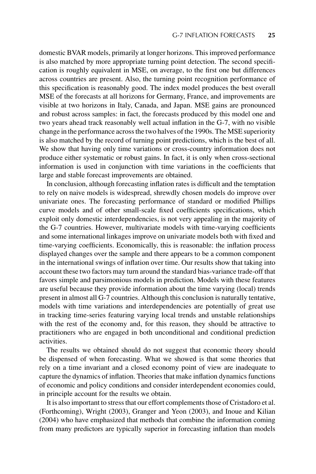domestic BVAR models, primarily at longer horizons. This improved performance is also matched by more appropriate turning point detection. The second specification is roughly equivalent in MSE, on average, to the first one but differences across countries are present. Also, the turning point recognition performance of this specification is reasonably good. The index model produces the best overall MSE of the forecasts at all horizons for Germany, France, and improvements are visible at two horizons in Italy, Canada, and Japan. MSE gains are pronounced and robust across samples: in fact, the forecasts produced by this model one and two years ahead track reasonably well actual inflation in the G-7, with no visible change in the performance across the two halves of the 1990s. The MSE superiority is also matched by the record of turning point predictions, which is the best of all. We show that having only time variations or cross-country information does not produce either systematic or robust gains. In fact, it is only when cross-sectional information is used in conjunction with time variations in the coefficients that large and stable forecast improvements are obtained.

In conclusion, although forecasting inflation rates is difficult and the temptation to rely on naive models is widespread, shrewdly chosen models do improve over univariate ones. The forecasting performance of standard or modified Phillips curve models and of other small-scale fixed coefficients specifications, which exploit only domestic interdependencies, is not very appealing in the majority of the G-7 countries. However, multivariate models with time-varying coefficients and some international linkages improve on univariate models both with fixed and time-varying coefficients. Economically, this is reasonable: the inflation process displayed changes over the sample and there appears to be a common component in the international swings of inflation over time. Our results show that taking into account these two factors may turn around the standard bias-variance trade-off that favors simple and parsimonious models in prediction. Models with these features are useful because they provide information about the time varying (local) trends present in almost all G-7 countries. Although this conclusion is naturally tentative, models with time variations and interdependencies are potentially of great use in tracking time-series featuring varying local trends and unstable relationships with the rest of the economy and, for this reason, they should be attractive to practitioners who are engaged in both unconditional and conditional prediction activities.

The results we obtained should do not suggest that economic theory should be dispensed of when forecasting. What we showed is that some theories that rely on a time invariant and a closed economy point of view are inadequate to capture the dynamics of inflation. Theories that make inflation dynamics functions of economic and policy conditions and consider interdependent economies could, in principle account for the results we obtain.

It is also important to stress that our effort complements those of Cristadoro et al. (Forthcoming), Wright (2003), Granger and Yeon (2003), and Inoue and Kilian (2004) who have emphasized that methods that combine the information coming from many predictors are typically superior in forecasting inflation than models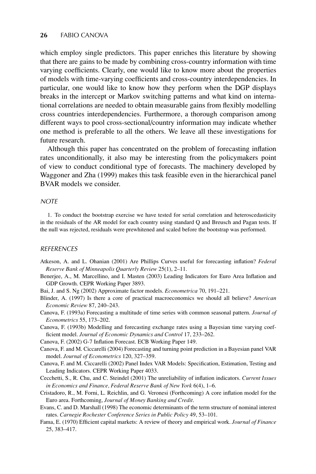which employ single predictors. This paper enriches this literature by showing that there are gains to be made by combining cross-country information with time varying coefficients. Clearly, one would like to know more about the properties of models with time-varying coefficients and cross-country interdependencies. In particular, one would like to know how they perform when the DGP displays breaks in the intercept or Markov switching patterns and what kind on international correlations are needed to obtain measurable gains from flexibly modelling cross countries interdependencies. Furthermore, a thorough comparison among different ways to pool cross-sectional/country information may indicate whether one method is preferable to all the others. We leave all these investigations for future research.

Although this paper has concentrated on the problem of forecasting inflation rates unconditionally, it also may be interesting from the policymakers point of view to conduct conditional type of forecasts. The machinery developed by Waggoner and Zha (1999) makes this task feasible even in the hierarchical panel BVAR models we consider.

#### **NOTE**

1. To conduct the bootstrap exercise we have tested for serial correlation and heteroscedasticity in the residuals of the AR model for each country using standard Q and Breusch and Pagan tests. If the null was rejected, residuals were prewhitened and scaled before the bootstrap was performed.

#### **REFERENCES**

- Atkeson, A. and L. Ohanian (2001) Are Phillips Curves useful for forecasting inflation? *Federal Reserve Bank of Minneapolis Quarterly Review* 25(1), 2–11.
- Benerjee, A., M. Marcellino, and I. Masten (2003) Leading Indicators for Euro Area Inflation and GDP Growth. CEPR Working Paper 3893.
- Bai, J. and S. Ng (2002) Approximate factor models. *Econometrica* 70, 191–221.
- Blinder, A. (1997) Is there a core of practical macroeconomics we should all believe? *American Economic Review* 87, 240–243.
- Canova, F. (1993a) Forecasting a multitude of time series with common seasonal pattern. *Journal of Econometrics* 55, 173–202.
- Canova, F. (1993b) Modelling and forecasting exchange rates using a Bayesian time varying coefficient model. *Journal of Economic Dynamics and Control* 17, 233–262.
- Canova, F. (2002) G-7 Inflation Forecast. ECB Working Paper 149.
- Canova, F. and M. Ciccarelli (2004) Forecasting and turning point prediction in a Bayesian panel VAR model. *Journal of Econometrics* 120, 327–359.
- Canova, F. and M. Ciccarelli (2002) Panel Index VAR Models: Specification, Estimation, Testing and Leading Indicators. CEPR Working Paper 4033.
- Cecchetti, S., R. Chu, and C. Steindel (2001) The unreliability of inflation indicators. *Current Issues in Economics and Finance, Federal Reserve Bank of New York* 6(4), 1–6.
- Cristadoro, R., M. Forni, L. Reichlin, and G. Veronesi (Forthcoming) A core inflation model for the Euro area. Forthcoming, *Journal of Money Banking and Credit*.
- Evans, C. and D. Marshall (1998) The economic determinants of the term structure of nominal interest rates. *Carnegie Rochester Conference Series in Public Policy* 49, 53–101.
- Fama, E. (1970) Efficient capital markets: A review of theory and empirical work. *Journal of Finance* 25, 383–417.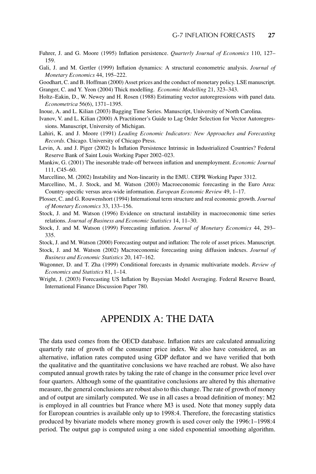- Fuhrer, J. and G. Moore (1995) Inflation persistence. *Quarterly Journal of Economics* 110, 127– 159.
- Gali, J. and M. Gertler (1999) Inflation dynamics: A structural econometric analysis. *Journal of Monetary Economics* 44, 195–222.

Goodhart, C. and B. Hoffman (2000) Asset prices and the conduct of monetary policy. LSE manuscript. Granger, C. and Y. Yeon (2004) Thick modelling. *Economic Modelling* 21, 323–343.

- Holtz–Eakin, D., W. Newey and H. Rosen (1988) Estimating vector autoregressions with panel data. *Econometrica* 56(6), 1371–1395.
- Inoue, A. and L. Kilian (2003) Bagging Time Series. Manuscript, University of North Carolina.
- Ivanov, V. and L. Kilian (2000) A Practitioner's Guide to Lag Order Selection for Vector Autoregressions. Manuscript, University of Michigan.
- Lahiri, K. and J. Moore (1991) *Leading Economic Indicators: New Approaches and Forecasting Records*. Chicago. University of Chicago Press.
- Levin, A. and J. Piger (2002) Is Inflation Persistence Intrinsic in Industrialized Countries? Federal Reserve Bank of Saint Louis Working Paper 2002–023.
- Mankiw, G. (2001) The inesorable trade-off between inflation and unemployment. *Economic Journal* 111, C45–60.
- Marcellino, M. (2002) Instability and Non-linearity in the EMU. CEPR Working Paper 3312.
- Marcellino, M., J. Stock, and M. Watson (2003) Macroeconomic forecasting in the Euro Area: Country-specific versus area-wide information. *European Economic Review* 49, 1–17.
- Plosser, C. and G. Rouwenshort (1994) International term structure and real economic growth. *Journal of Monetary Economics* 33, 133–156.
- Stock, J. and M. Watson (1996) Evidence on structural instability in macroeconomic time series relations. *Journal of Business and Economic Statistics* 14, 11–30.
- Stock, J. and M. Watson (1999) Forecasting inflation. *Journal of Monetary Economics* 44, 293– 335.
- Stock, J. and M. Watson (2000) Forecasting output and inflation: The role of asset prices. Manuscript.
- Stock, J. and M. Watson (2002) Macroeconomic forecasting using diffusion indexes. *Journal of Business and Economic Statistics* 20, 147–162.
- Wagonner, D. and T. Zha (1999) Conditional forecasts in dynamic multivariate models. *Review of Economics and Statistics* 81, 1–14.
- Wright, J. (2003) Forecasting US Inflation by Bayesian Model Averaging. Federal Reserve Board, International Finance Discussion Paper 780.

# APPENDIX A: THE DATA

The data used comes from the OECD database. Inflation rates are calculated annualizing quarterly rate of growth of the consumer price index. We also have considered, as an alternative, inflation rates computed using GDP deflator and we have verified that both the qualitative and the quantitative conclusions we have reached are robust. We also have computed annual growth rates by taking the rate of change in the consumer price level over four quarters. Although some of the quantitative conclusions are altered by this alternative measure, the general conclusions are robust also to this change. The rate of growth of money and of output are similarly computed. We use in all cases a broad definition of money: M2 is employed in all countries but France where M3 is used. Note that money supply data for European countries is available only up to 1998:4. Therefore, the forecasting statistics produced by bivariate models where money growth is used cover only the 1996:1–1998:4 period. The output gap is computed using a one sided exponential smoothing algorithm.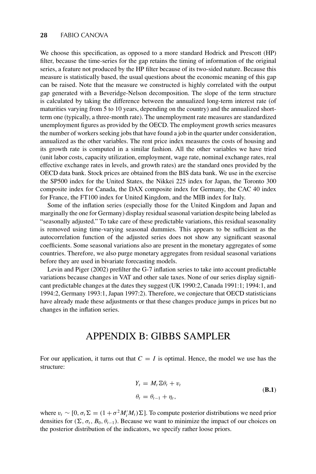#### **28** FABIO CANOVA

We choose this specification, as opposed to a more standard Hodrick and Prescott (HP) filter, because the time-series for the gap retains the timing of information of the original series, a feature not produced by the HP filter because of its two-sided nature. Because this measure is statistically based, the usual questions about the economic meaning of this gap can be raised. Note that the measure we constructed is highly correlated with the output gap generated with a Beveridge-Nelson decomposition. The slope of the term structure is calculated by taking the difference between the annualized long-term interest rate (of maturities varying from 5 to 10 years, depending on the country) and the annualized shortterm one (typically, a three-month rate). The unemployment rate measures are standardized unemployment figures as provided by the OECD. The employment growth series measures the number of workers seeking jobs that have found a job in the quarter under consideration, annualized as the other variables. The rent price index measures the costs of housing and its growth rate is computed in a similar fashion. All the other variables we have tried (unit labor costs, capacity utilization, employment, wage rate, nominal exchange rates, real effective exchange rates in levels, and growth rates) are the standard ones provided by the OECD data bank. Stock prices are obtained from the BIS data bank. We use in the exercise the SP500 index for the United States, the Nikkei 225 index for Japan, the Toronto 300 composite index for Canada, the DAX composite index for Germany, the CAC 40 index for France, the FT100 index for United Kingdom, and the MIB index for Italy.

Some of the inflation series (especially those for the United Kingdom and Japan and marginally the one for Germany) display residual seasonal variation despite being labeled as "seasonally adjusted." To take care of these predictable variations, this residual seasonality is removed using time-varying seasonal dummies. This appears to be sufficient as the autocorrelation function of the adjusted series does not show any significant seasonal coefficients. Some seasonal variations also are present in the monetary aggregates of some countries. Therefore, we also purge monetary aggregates from residual seasonal variations before they are used in bivariate forecasting models.

Levin and Piger (2002) prefilter the G-7 inflation series to take into account predictable variations because changes in VAT and other sale taxes. None of our series display significant predictable changes at the dates they suggest (UK 1990:2, Canada 1991:1; 1994:1, and 1994:2, Germany 1993:1, Japan 1997:2). Therefore, we conjecture that OECD statisticians have already made these adjustments or that these changes produce jumps in prices but no changes in the inflation series.

## APPENDIX B: GIBBS SAMPLER

For our application, it turns out that  $C = I$  is optimal. Hence, the model we use has the structure:

$$
Y_t = M_t \Xi \theta_t + v_t
$$
  
\n
$$
\theta_t = \theta_{t-1} + \eta_t,
$$
\n(B.1)

where  $v_t \sim [0, \sigma_t \Sigma = (1 + \sigma^2 M_t M_t) \Sigma]$ . To compute posterior distributions we need prior densities for  $(\Sigma, \sigma_t, B_0, \theta_{t-1})$ . Because we want to minimize the impact of our choices on the posterior distribution of the indicators, we specify rather loose priors.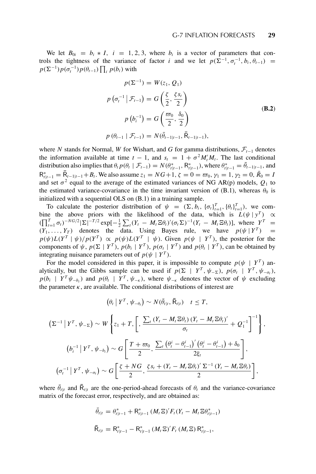We let  $B_{0i} = b_i * I$ ,  $i = 1, 2, 3$ , where  $b_i$  is a vector of parameters that controls the tightness of the variance of factor *i* and we let  $p(\Sigma^{-1}, \sigma^{-1}, b_i, \theta_{t-1})$  $p(\Sigma^{-1})p(\sigma_t^{-1})p(\theta_{t-1})\prod_i p(b_i)$  with

$$
p(\Sigma^{-1}) = W(z_1, Q_1)
$$
  
\n
$$
p(\sigma_t^{-1} | \mathcal{F}_{t-1}) = G\left(\frac{\zeta}{2}, \frac{\zeta s_t}{2}\right)
$$
  
\n
$$
p(b_i^{-1}) = G\left(\frac{\omega_0}{2}, \frac{\delta_0}{2}\right)
$$
  
\n
$$
p(\theta_{t-1} | \mathcal{F}_{t-1}) = N(\bar{\theta}_{t-1|t-1}, \bar{R}_{t-1|t-1}),
$$
\n(B.2)

where *N* stands for Normal, *W* for Wishart, and *G* for gamma distributions, F*t*−<sup>1</sup> denotes the information available at time  $t - 1$ , and  $s_t = 1 + \sigma^2 M_t^t M_t$ . The last conditional distribution also implies that  $\theta_t p(\theta_t | \mathcal{F}_{t-1}) = N(\theta^*_{t|t-1}, \mathsf{R}^*_{t|t-1})$ , where  $\theta^*_{t|t-1} = \bar{\theta}_{t-1|t-1}$ , and  $R_{t|t-1}^* = \bar{R}_{t-1|t-1} + B_t$ . We also assume  $z_1 = NG+1$ ,  $\zeta = 0 = \omega_0$ ,  $\gamma_1 = 1$ ,  $\gamma_2 = 0$ ,  $\bar{R}_0 = I$ and set  $\sigma^2$  equal to the average of the estimated variances of NG AR(p) models,  $Q_1$  to the estimated variance-covariance in the time invariant version of (B.1), whereas  $\theta_0$  is initialized with a sequential OLS on (B.1) in a training sample.

To calculate the posterior distribution of  $\psi = (\Sigma, b_i, {\{\sigma_t\}}_{t=1}^T, {\{\theta_t\}}_{t=1}^T)$ , we combine the above priors with the likelihood of the data, which is  $L(\psi | y^T) \propto$  $(\prod_{t=1}^{T} \sigma_t)^{-NG/2} |\Sigma|^{-T/2} \exp[-\frac{1}{2} \sum_{t} (Y_t - M_t \Xi \theta_t)'(\sigma_t \Sigma)^{-1} (Y_t - M_t \Xi \theta_t)],$  where  $Y^T =$  $(Y_1, \ldots, Y_T)$  denotes the data. Using Bayes rule, we have  $p(\psi | Y^T) =$  $p(\psi)L(Y^T | \psi)/p(Y^T) \propto p(\psi)L(Y^T | \psi)$ . Given  $p(\psi | Y^T)$ , the posterior for the components of  $\psi$ ,  $p(\Sigma | Y^T)$ ,  $p(b_i | Y^T)$ ,  $p(\sigma_t | Y^T)$  and  $p(\theta_t | Y^T)$ , can be obtained by integrating nuisance parameters out of  $p(\psi | Y^T)$ .

For the model considered in this paper, it is impossible to compute  $p(\psi | Y^T)$  analytically, but the Gibbs sample can be used if  $p(\Sigma | Y^T, \psi_{-\Sigma})$ ,  $p(\sigma_t | Y^T, \psi_{-\sigma_t})$ ,  $p(b_i \mid Y^T \psi_{-b_i})$  and  $p(\theta_i \mid Y^T, \psi_{-k})$ , where  $\psi_{-k}$  denotes the vector of  $\psi$  excluding the parameter  $\kappa$ , are available. The conditional distributions of interest are

$$
\left(\theta_t\,\big|\,Y^T,\,\psi_{-\theta_t}\right)\sim N(\bar{\theta}_{t|t},\,\bar{\mathsf{R}}_{t|t})\quad t\leq T,
$$

$$
\left(\Sigma^{-1} \middle| Y^T, \psi_{-\Sigma}\right) \sim W \left\{ z_1 + T, \left[ \frac{\sum_t (Y_t - M_t \Xi \theta_t) (Y_t - M_t \Xi \theta_t)^{'}}{\sigma_t} + Q_1^{-1} \right]^{-1} \right\},
$$
  

$$
\left(b_i^{-1} \middle| Y^T, \psi_{-b_i}\right) \sim G \left[ \frac{T + \varpi_0}{2}, \frac{\sum_t \left(\theta_i^i - \theta_{t-1}^i\right)' \left(\theta_i^i - \theta_{t-1}^i\right) + \delta_0}{2\xi_t} \right],
$$
  

$$
\left(\sigma_i^{-1} \middle| Y^T, \psi_{-\sigma_i}\right) \sim G \left[ \frac{\zeta + NG}{2}, \frac{\zeta s_t + (Y_t - M_t \Xi \theta_t)' \Sigma^{-1} (Y_t - M_t \Xi \theta_t)}{2} \right],
$$

where  $\bar{\theta}_{t|t}$  and  $\bar{R}_{t|t}$  are the one-period-ahead forecasts of  $\theta_t$  and the variance-covariance matrix of the forecast error, respectively, and are obtained as:

$$
\bar{\theta}_{t|t} = \theta_{t|t-1}^{*} + \mathsf{R}_{t|t-1}^{*} (M_{t} \Xi)^{t} F_{t} (Y_{t} - M_{t} \Xi \theta_{t|t-1}^{*})
$$
  

$$
\bar{\mathsf{R}}_{t|t} = \mathsf{R}_{t|t-1}^{*} - \mathsf{R}_{t|t-1}^{*} (M_{t} \Xi)^{t} F_{t} (M_{t} \Xi) \mathsf{R}_{t|t-1}^{*},
$$